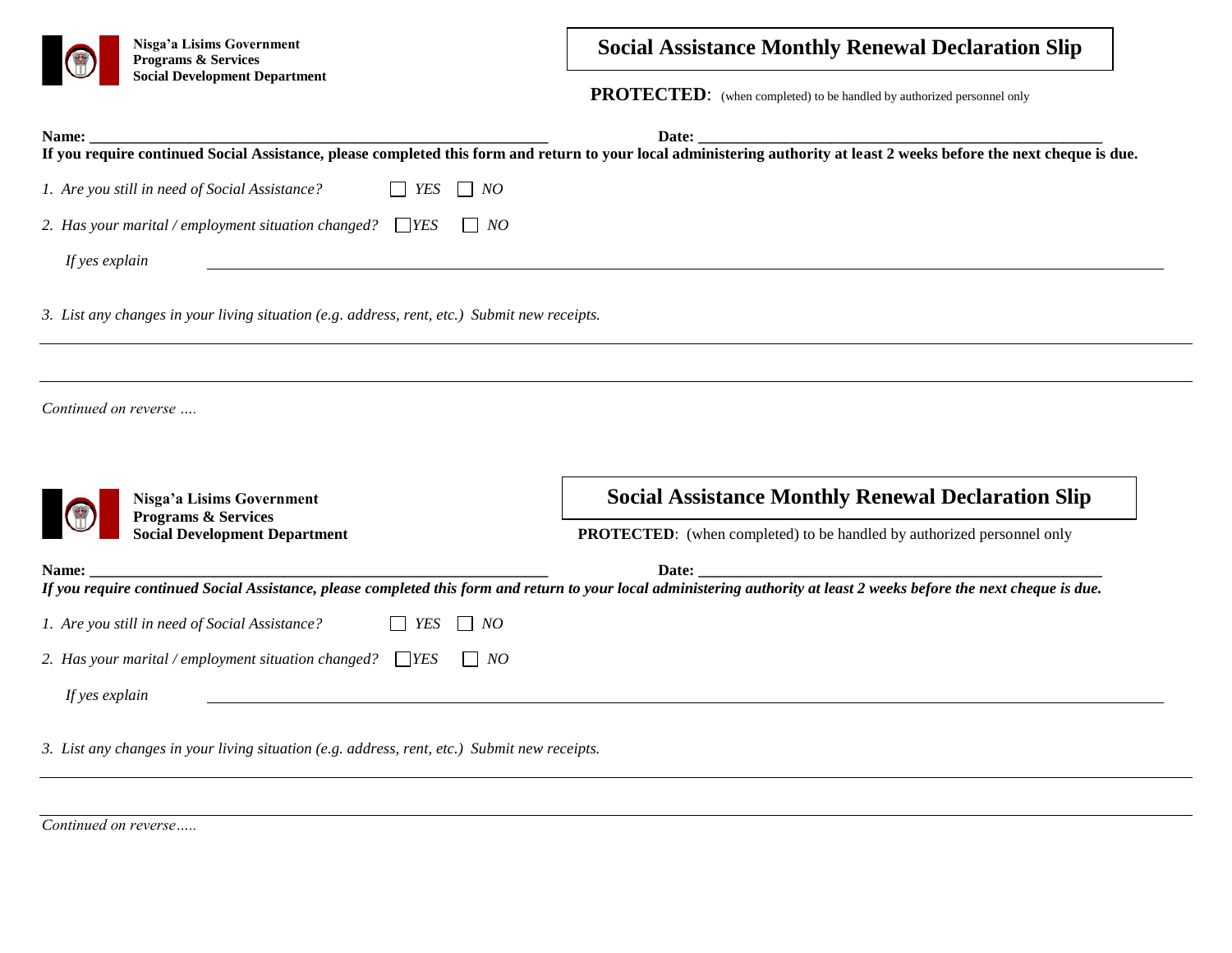

**Nisga'a Lisims Government Programs & Services Social Development Department** 

## **Social Assistance Monthly Renewal Declaration Slip**

**PROTECTED:** (when completed) to be handled by authorized personnel only

| Name:                                                                                                                                     | Date:<br>If you require continued Social Assistance, please completed this form and return to your local administering authority at least 2 weeks before the next cheque is due. |
|-------------------------------------------------------------------------------------------------------------------------------------------|----------------------------------------------------------------------------------------------------------------------------------------------------------------------------------|
| $\Box$<br>YES<br>1. Are you still in need of Social Assistance?<br>$\Box$ NO                                                              |                                                                                                                                                                                  |
| 2. Has your marital / employment situation changed? $\Box$ YES<br>$\vert$ NO                                                              |                                                                                                                                                                                  |
| If yes explain                                                                                                                            |                                                                                                                                                                                  |
| 3. List any changes in your living situation (e.g. address, rent, etc.) Submit new receipts.                                              |                                                                                                                                                                                  |
|                                                                                                                                           |                                                                                                                                                                                  |
|                                                                                                                                           |                                                                                                                                                                                  |
| Nisga'a Lisims Government                                                                                                                 | <b>Social Assistance Monthly Renewal Declaration Slip</b>                                                                                                                        |
| Continued on reverse<br>Programs & Services<br><b>Social Development Department</b>                                                       | <b>PROTECTED:</b> (when completed) to be handled by authorized personnel only                                                                                                    |
|                                                                                                                                           |                                                                                                                                                                                  |
|                                                                                                                                           | If you require continued Social Assistance, please completed this form and return to your local administering authority at least 2 weeks before the next cheque is due.          |
| YES<br>$\overline{\phantom{a}}$<br>$\Box$ NO                                                                                              |                                                                                                                                                                                  |
| Name:<br>1. Are you still in need of Social Assistance?<br>2. Has your marital / employment situation changed? $\Box$ YES<br>$\vert$   NO |                                                                                                                                                                                  |

*Continued on reverse…..*